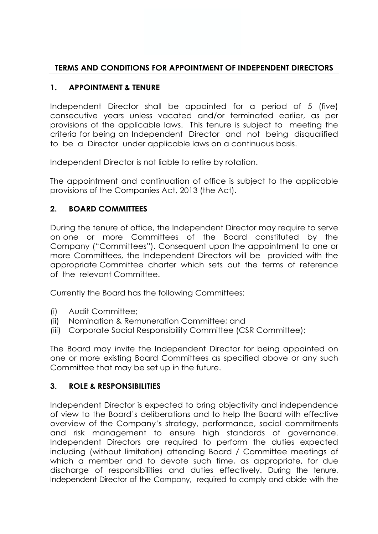### **TERMS AND CONDITIONS FOR APPOINTMENT OF INDEPENDENT DIRECTORS**

## **1. APPOINTMENT & TENURE**

Independent Director shall be appointed for a period of 5 (five) consecutive years unless vacated and/or terminated earlier, as per provisions of the applicable laws. This tenure is subject to meeting the criteria for being an Independent Director and not being disqualified to be a Director under applicable laws on a continuous basis.

Independent Director is not liable to retire by rotation.

The appointment and continuation of office is subject to the applicable provisions of the Companies Act, 2013 (the Act).

### **2. BOARD COMMITTEES**

During the tenure of office, the Independent Director may require to serve on one or more Committees of the Board constituted by the Company ("Committees"). Consequent upon the appointment to one or more Committees, the Independent Directors will be provided with the appropriate Committee charter which sets out the terms of reference of the relevant Committee.

Currently the Board has the following Committees:

- (i) Audit Committee;
- (ii) Nomination & Remuneration Committee; and
- (iii) Corporate Social Responsibility Committee (CSR Committee);

The Board may invite the Independent Director for being appointed on one or more existing Board Committees as specified above or any such Committee that may be set up in the future.

#### **3. ROLE & RESPONSIBILITIES**

Independent Director is expected to bring objectivity and independence of view to the Board's deliberations and to help the Board with effective overview of the Company's strategy, performance, social commitments and risk management to ensure high standards of governance. Independent Directors are required to perform the duties expected including (without limitation) attending Board / Committee meetings of which a member and to devote such time, as appropriate, for due discharge of responsibilities and duties effectively. During the tenure, Independent Director of the Company, required to comply and abide with the